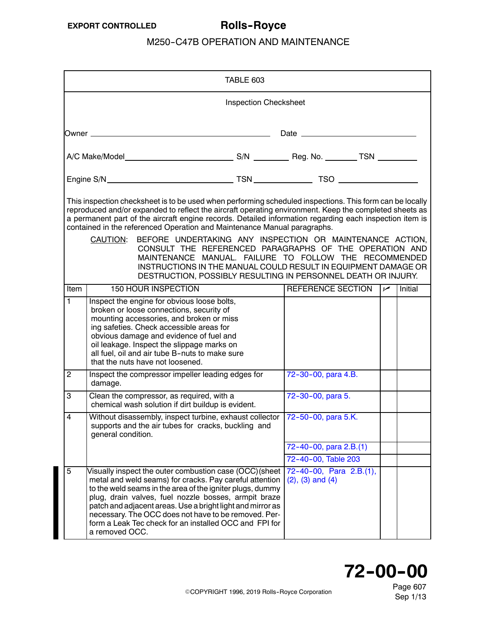<span id="page-0-0"></span>

|                |                                                                                                                                                                                                                                                                                                                                                                                                                                                                                                                                                                                                                                                                        |                                                                                                                                                                                                                                                                                                                                                                                                                        | TABLE 603 |                                                    |  |     |         |
|----------------|------------------------------------------------------------------------------------------------------------------------------------------------------------------------------------------------------------------------------------------------------------------------------------------------------------------------------------------------------------------------------------------------------------------------------------------------------------------------------------------------------------------------------------------------------------------------------------------------------------------------------------------------------------------------|------------------------------------------------------------------------------------------------------------------------------------------------------------------------------------------------------------------------------------------------------------------------------------------------------------------------------------------------------------------------------------------------------------------------|-----------|----------------------------------------------------|--|-----|---------|
|                | <b>Inspection Checksheet</b>                                                                                                                                                                                                                                                                                                                                                                                                                                                                                                                                                                                                                                           |                                                                                                                                                                                                                                                                                                                                                                                                                        |           |                                                    |  |     |         |
|                |                                                                                                                                                                                                                                                                                                                                                                                                                                                                                                                                                                                                                                                                        |                                                                                                                                                                                                                                                                                                                                                                                                                        |           |                                                    |  |     |         |
|                |                                                                                                                                                                                                                                                                                                                                                                                                                                                                                                                                                                                                                                                                        |                                                                                                                                                                                                                                                                                                                                                                                                                        |           |                                                    |  |     |         |
|                |                                                                                                                                                                                                                                                                                                                                                                                                                                                                                                                                                                                                                                                                        |                                                                                                                                                                                                                                                                                                                                                                                                                        |           |                                                    |  |     |         |
|                | This inspection checksheet is to be used when performing scheduled inspections. This form can be locally<br>reproduced and/or expanded to reflect the aircraft operating environment. Keep the completed sheets as<br>a permanent part of the aircraft engine records. Detailed information regarding each inspection item is<br>contained in the referenced Operation and Maintenance Manual paragraphs.<br>BEFORE UNDERTAKING ANY INSPECTION OR MAINTENANCE ACTION,<br>CAUTION:<br>CONSULT THE REFERENCED PARAGRAPHS OF THE OPERATION AND<br>MAINTENANCE MANUAL. FAILURE TO FOLLOW THE RECOMMENDED<br>INSTRUCTIONS IN THE MANUAL COULD RESULT IN EQUIPMENT DAMAGE OR |                                                                                                                                                                                                                                                                                                                                                                                                                        |           |                                                    |  |     |         |
| Item           |                                                                                                                                                                                                                                                                                                                                                                                                                                                                                                                                                                                                                                                                        | DESTRUCTION, POSSIBLY RESULTING IN PERSONNEL DEATH OR INJURY.<br><b>150 HOUR INSPECTION</b>                                                                                                                                                                                                                                                                                                                            |           | REFERENCE SECTION                                  |  | سما | Initial |
| 1              |                                                                                                                                                                                                                                                                                                                                                                                                                                                                                                                                                                                                                                                                        | Inspect the engine for obvious loose bolts,<br>broken or loose connections, security of<br>mounting accessories, and broken or miss<br>ing safeties. Check accessible areas for<br>obvious damage and evidence of fuel and<br>oil leakage. Inspect the slippage marks on<br>all fuel, oil and air tube B-nuts to make sure<br>that the nuts have not loosened.                                                         |           |                                                    |  |     |         |
| $\overline{2}$ | damage.                                                                                                                                                                                                                                                                                                                                                                                                                                                                                                                                                                                                                                                                | Inspect the compressor impeller leading edges for                                                                                                                                                                                                                                                                                                                                                                      |           | 72-30-00, para 4.B.                                |  |     |         |
| 3              |                                                                                                                                                                                                                                                                                                                                                                                                                                                                                                                                                                                                                                                                        | Clean the compressor, as required, with a<br>chemical wash solution if dirt buildup is evident.                                                                                                                                                                                                                                                                                                                        |           | 72-30-00, para 5.                                  |  |     |         |
| 4              | general condition.                                                                                                                                                                                                                                                                                                                                                                                                                                                                                                                                                                                                                                                     | Without disassembly, inspect turbine, exhaust collector 72-50-00, para 5.K.<br>supports and the air tubes for cracks, buckling and                                                                                                                                                                                                                                                                                     |           |                                                    |  |     |         |
|                |                                                                                                                                                                                                                                                                                                                                                                                                                                                                                                                                                                                                                                                                        |                                                                                                                                                                                                                                                                                                                                                                                                                        |           | 72-40-00, para 2.B.(1)<br>72-40-00, Table 203      |  |     |         |
| $\overline{5}$ | a removed OCC.                                                                                                                                                                                                                                                                                                                                                                                                                                                                                                                                                                                                                                                         | Visually inspect the outer combustion case (OCC)(sheet<br>metal and weld seams) for cracks. Pay careful attention<br>to the weld seams in the area of the igniter plugs, dummy<br>plug, drain valves, fuel nozzle bosses, armpit braze<br>patch and adjacent areas. Use a bright light and mirror as<br>necessary. The OCC does not have to be removed. Per-<br>form a Leak Tec check for an installed OCC and FPI for |           | 72-40-00, Para 2.B.(1),<br>$(2)$ , $(3)$ and $(4)$ |  |     |         |

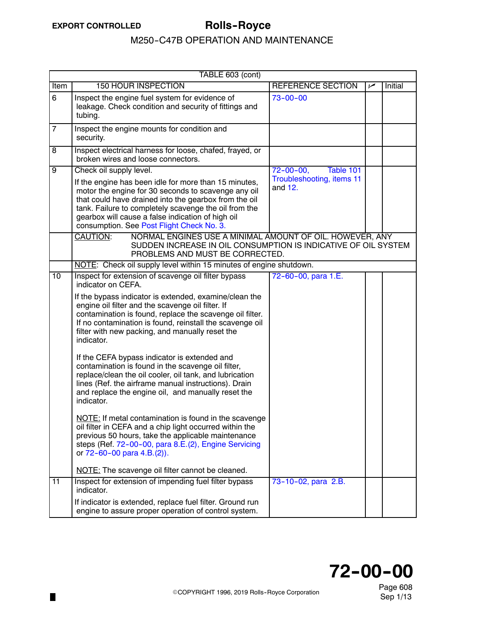$\blacksquare$ 

<span id="page-1-0"></span>

|                 | TABLE 603 (cont)                   |                                                                                                                                                                                                                                                                                                                                  |                                        |     |         |  |
|-----------------|------------------------------------|----------------------------------------------------------------------------------------------------------------------------------------------------------------------------------------------------------------------------------------------------------------------------------------------------------------------------------|----------------------------------------|-----|---------|--|
| Item            | <b>150 HOUR INSPECTION</b>         |                                                                                                                                                                                                                                                                                                                                  | REFERENCE SECTION                      | سما | Initial |  |
| 6               | tubing.                            | Inspect the engine fuel system for evidence of<br>leakage. Check condition and security of fittings and                                                                                                                                                                                                                          | $73 - 00 - 00$                         |     |         |  |
| $\overline{7}$  | security.                          | Inspect the engine mounts for condition and                                                                                                                                                                                                                                                                                      |                                        |     |         |  |
| 8               | broken wires and loose connectors. | Inspect electrical harness for loose, chafed, frayed, or                                                                                                                                                                                                                                                                         |                                        |     |         |  |
| $\overline{9}$  | Check oil supply level.            |                                                                                                                                                                                                                                                                                                                                  | $72 - 00 - 00,$<br>Table 101           |     |         |  |
|                 |                                    | If the engine has been idle for more than 15 minutes,<br>motor the engine for 30 seconds to scavenge any oil<br>that could have drained into the gearbox from the oil<br>tank. Failure to completely scavenge the oil from the<br>gearbox will cause a false indication of high oil<br>consumption. See Post Flight Check No. 3. | Troubleshooting, items 11<br>and $12.$ |     |         |  |
|                 | CAUTION:                           | NORMAL ENGINES USE A MINIMAL AMOUNT OF OIL. HOWEVER, ANY<br>SUDDEN INCREASE IN OIL CONSUMPTION IS INDICATIVE OF OIL SYSTEM<br>PROBLEMS AND MUST BE CORRECTED.                                                                                                                                                                    |                                        |     |         |  |
|                 |                                    | NOTE: Check oil supply level within 15 minutes of engine shutdown.                                                                                                                                                                                                                                                               |                                        |     |         |  |
| 10              | indicator on CEFA.                 | Inspect for extension of scavenge oil filter bypass                                                                                                                                                                                                                                                                              | 72-60-00, para 1.E.                    |     |         |  |
|                 | indicator.                         | If the bypass indicator is extended, examine/clean the<br>engine oil filter and the scavenge oil filter. If<br>contamination is found, replace the scavenge oil filter.<br>If no contamination is found, reinstall the scavenge oil<br>filter with new packing, and manually reset the                                           |                                        |     |         |  |
|                 | indicator.                         | If the CEFA bypass indicator is extended and<br>contamination is found in the scavenge oil filter,<br>replace/clean the oil cooler, oil tank, and lubrication<br>lines (Ref. the airframe manual instructions). Drain<br>and replace the engine oil, and manually reset the                                                      |                                        |     |         |  |
|                 | or 72-60-00 para 4.B.(2)).         | NOTE: If metal contamination is found in the scavenge<br>oil filter in CEFA and a chip light occurred within the<br>previous 50 hours, take the applicable maintenance<br>steps (Ref. 72-00-00, para 8.E.(2), Engine Servicing                                                                                                   |                                        |     |         |  |
|                 |                                    | NOTE: The scavenge oil filter cannot be cleaned.                                                                                                                                                                                                                                                                                 |                                        |     |         |  |
| $\overline{11}$ | indicator.                         | Inspect for extension of impending fuel filter bypass                                                                                                                                                                                                                                                                            | 73-10-02, para 2.B.                    |     |         |  |
|                 |                                    | If indicator is extended, replace fuel filter. Ground run<br>engine to assure proper operation of control system.                                                                                                                                                                                                                |                                        |     |         |  |

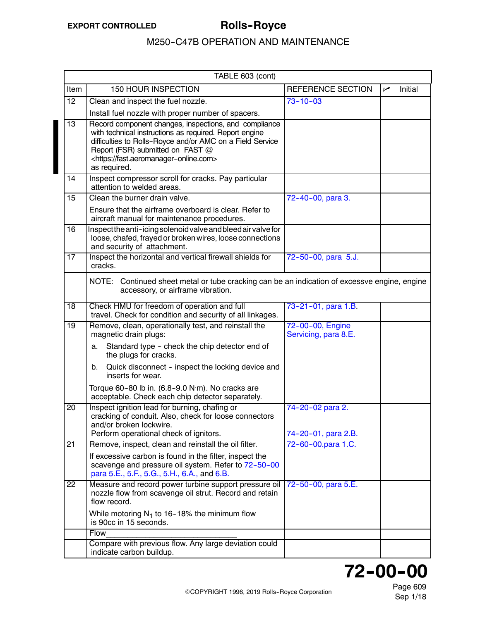<span id="page-2-0"></span>

|                 | TABLE 603 (cont)                                                                                                                                                                                                                                                                      |                                           |     |         |  |
|-----------------|---------------------------------------------------------------------------------------------------------------------------------------------------------------------------------------------------------------------------------------------------------------------------------------|-------------------------------------------|-----|---------|--|
| Item            | <b>150 HOUR INSPECTION</b>                                                                                                                                                                                                                                                            | REFERENCE SECTION                         | سما | Initial |  |
| 12 <sub>2</sub> | Clean and inspect the fuel nozzle.                                                                                                                                                                                                                                                    | $73 - 10 - 03$                            |     |         |  |
|                 | Install fuel nozzle with proper number of spacers.                                                                                                                                                                                                                                    |                                           |     |         |  |
| 13              | Record component changes, inspections, and compliance<br>with technical instructions as required. Report engine<br>difficulties to Rolls-Royce and/or AMC on a Field Service<br>Report (FSR) submitted on FAST @<br><https: fast.aeromanager-online.com=""><br/>as required.</https:> |                                           |     |         |  |
| 14              | Inspect compressor scroll for cracks. Pay particular<br>attention to welded areas.                                                                                                                                                                                                    |                                           |     |         |  |
| 15              | Clean the burner drain valve.                                                                                                                                                                                                                                                         | 72-40-00, para 3.                         |     |         |  |
|                 | Ensure that the airframe overboard is clear. Refer to<br>aircraft manual for maintenance procedures.                                                                                                                                                                                  |                                           |     |         |  |
| 16              | Inspectthe anti-icing solenoid valve and bleed air valve for<br>loose, chafed, frayed or broken wires, loose connections<br>and security of attachment.                                                                                                                               |                                           |     |         |  |
| 17              | Inspect the horizontal and vertical firewall shields for<br>cracks.                                                                                                                                                                                                                   | 72-50-00, para 5.J.                       |     |         |  |
|                 | NOTE: Continued sheet metal or tube cracking can be an indication of excessve engine, engine<br>accessory, or airframe vibration.                                                                                                                                                     |                                           |     |         |  |
| 18              | Check HMU for freedom of operation and full<br>travel. Check for condition and security of all linkages.                                                                                                                                                                              | 73-21-01, para 1.B.                       |     |         |  |
| $\overline{19}$ | Remove, clean, operationally test, and reinstall the<br>magnetic drain plugs:                                                                                                                                                                                                         | 72-00-00, Engine<br>Servicing, para 8.E.  |     |         |  |
|                 | Standard type - check the chip detector end of<br>a.<br>the plugs for cracks.                                                                                                                                                                                                         |                                           |     |         |  |
|                 | Quick disconnect - inspect the locking device and<br>b.<br>inserts for wear.                                                                                                                                                                                                          |                                           |     |         |  |
|                 | Torque 60-80 lb in. (6.8-9.0 N·m). No cracks are<br>acceptable. Check each chip detector separately.                                                                                                                                                                                  |                                           |     |         |  |
| 20              | Inspect ignition lead for burning, chafing or<br>cracking of conduit. Also, check for loose connectors<br>and/or broken lockwire.                                                                                                                                                     | 74-20-02 para 2.                          |     |         |  |
| 21              | Perform operational check of ignitors.<br>Remove, inspect, clean and reinstall the oil filter.                                                                                                                                                                                        | 74-20-01, para 2.B.<br>72-60-00.para 1.C. |     |         |  |
|                 | If excessive carbon is found in the filter, inspect the<br>scavenge and pressure oil system. Refer to 72-50-00<br>para 5.E., 5.F., 5.G., 5.H., 6.A., and 6.B.                                                                                                                         |                                           |     |         |  |
| 22              | Measure and record power turbine support pressure oil<br>nozzle flow from scavenge oil strut. Record and retain<br>flow record.                                                                                                                                                       | 72-50-00, para 5.E.                       |     |         |  |
|                 | While motoring $N_1$ to 16-18% the minimum flow<br>is 90cc in 15 seconds.                                                                                                                                                                                                             |                                           |     |         |  |
|                 | Flow                                                                                                                                                                                                                                                                                  |                                           |     |         |  |
|                 | Compare with previous flow. Any large deviation could<br>indicate carbon buildup.                                                                                                                                                                                                     |                                           |     |         |  |

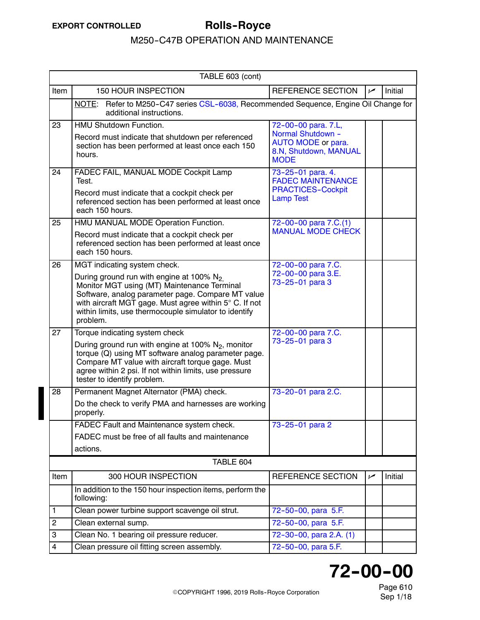<span id="page-3-0"></span>

|                | TABLE 603 (cont)                                                                                                                                                                                                                                                                                               |                                                                                                        |                |         |
|----------------|----------------------------------------------------------------------------------------------------------------------------------------------------------------------------------------------------------------------------------------------------------------------------------------------------------------|--------------------------------------------------------------------------------------------------------|----------------|---------|
| Item           | <b>150 HOUR INSPECTION</b>                                                                                                                                                                                                                                                                                     | <b>REFERENCE SECTION</b>                                                                               | $\overline{v}$ | Initial |
|                | NOTE: Refer to M250-C47 series CSL-6038, Recommended Sequence, Engine Oil Change for<br>additional instructions.                                                                                                                                                                                               |                                                                                                        |                |         |
| 23             | HMU Shutdown Function.<br>Record must indicate that shutdown per referenced<br>section has been performed at least once each 150<br>hours.                                                                                                                                                                     | 72-00-00 para. 7.L,<br>Normal Shutdown -<br>AUTO MODE or para.<br>8.N, Shutdown, MANUAL<br><b>MODE</b> |                |         |
| 24             | FADEC FAIL, MANUAL MODE Cockpit Lamp<br>Test.<br>Record must indicate that a cockpit check per<br>referenced section has been performed at least once<br>each 150 hours.                                                                                                                                       | 73-25-01 para. 4.<br><b>FADEC MAINTENANCE</b><br><b>PRACTICES-Cockpit</b><br><b>Lamp Test</b>          |                |         |
| 25             | HMU MANUAL MODE Operation Function.<br>Record must indicate that a cockpit check per<br>referenced section has been performed at least once<br>each 150 hours.                                                                                                                                                 | 72-00-00 para 7.C.(1)<br><b>MANUAL MODE CHECK</b>                                                      |                |         |
| 26             | MGT indicating system check.<br>During ground run with engine at 100% $N_2$<br>Monitor MGT using (MT) Maintenance Terminal<br>Software, analog parameter page. Compare MT value<br>with aircraft MGT gage. Must agree within 5° C. If not<br>within limits, use thermocouple simulator to identify<br>problem. | 72-00-00 para 7.C.<br>72-00-00 para 3.E.<br>73-25-01 para 3                                            |                |         |
| 27             | Torque indicating system check<br>During ground run with engine at 100% N <sub>2</sub> , monitor<br>torque (Q) using MT software analog parameter page.<br>Compare MT value with aircraft torque gage. Must<br>agree within 2 psi. If not within limits, use pressure<br>tester to identify problem.           | 72-00-00 para 7.C.<br>73-25-01 para 3                                                                  |                |         |
| 28             | Permanent Magnet Alternator (PMA) check.<br>Do the check to verify PMA and harnesses are working<br>properly.<br>FADEC Fault and Maintenance system check.<br>FADEC must be free of all faults and maintenance                                                                                                 | 73-20-01 para 2.C.<br>73-25-01 para 2                                                                  |                |         |
|                | actions.                                                                                                                                                                                                                                                                                                       |                                                                                                        |                |         |
|                | TABLE 604                                                                                                                                                                                                                                                                                                      |                                                                                                        |                |         |
| Item           | 300 HOUR INSPECTION<br>In addition to the 150 hour inspection items, perform the<br>following:                                                                                                                                                                                                                 | REFERENCE SECTION                                                                                      | سما            | Initial |
| 1              | Clean power turbine support scavenge oil strut.                                                                                                                                                                                                                                                                | 72-50-00, para 5.F.                                                                                    |                |         |
| $\overline{c}$ | Clean external sump.                                                                                                                                                                                                                                                                                           | 72-50-00, para 5.F.                                                                                    |                |         |
| 3              | Clean No. 1 bearing oil pressure reducer.                                                                                                                                                                                                                                                                      | 72-30-00, para 2.A. (1)                                                                                |                |         |
| 4              | Clean pressure oil fitting screen assembly.                                                                                                                                                                                                                                                                    | 72-50-00, para 5.F.                                                                                    |                |         |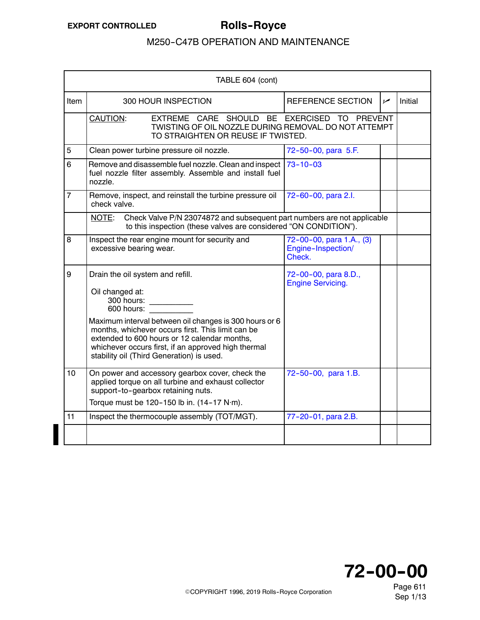I

### M250-C47B OPERATION AND MAINTENANCE

<span id="page-4-0"></span>

| TABLE 604 (cont) |                                                                                                                                                             |                                                                                                                                                                                                                                                                 |                                                          |     |         |
|------------------|-------------------------------------------------------------------------------------------------------------------------------------------------------------|-----------------------------------------------------------------------------------------------------------------------------------------------------------------------------------------------------------------------------------------------------------------|----------------------------------------------------------|-----|---------|
| <b>Item</b>      |                                                                                                                                                             | 300 HOUR INSPECTION                                                                                                                                                                                                                                             | <b>REFERENCE SECTION</b>                                 | مما | Initial |
|                  | <b>CAUTION:</b>                                                                                                                                             | EXTREME CARE SHOULD BE EXERCISED TO<br>TWISTING OF OIL NOZZLE DURING REMOVAL, DO NOT ATTEMPT<br>TO STRAIGHTEN OR REUSE IF TWISTED.                                                                                                                              | <b>PREVENT</b>                                           |     |         |
| 5                |                                                                                                                                                             | Clean power turbine pressure oil nozzle.                                                                                                                                                                                                                        | 72-50-00, para 5.F.                                      |     |         |
| 6                | nozzle.                                                                                                                                                     | Remove and disassemble fuel nozzle. Clean and inspect  <br>fuel nozzle filter assembly. Assemble and install fuel                                                                                                                                               | $73 - 10 - 03$                                           |     |         |
| $\overline{7}$   | check valve.                                                                                                                                                | Remove, inspect, and reinstall the turbine pressure oil                                                                                                                                                                                                         | 72-60-00, para 2.l.                                      |     |         |
|                  | Check Valve P/N 23074872 and subsequent part numbers are not applicable<br><u>NOTE:</u><br>to this inspection (these valves are considered "ON CONDITION"). |                                                                                                                                                                                                                                                                 |                                                          |     |         |
| 8                | excessive bearing wear.                                                                                                                                     | Inspect the rear engine mount for security and                                                                                                                                                                                                                  | 72-00-00, para 1.A., (3)<br>Engine-Inspection/<br>Check. |     |         |
| 9                | Drain the oil system and refill.<br>Oil changed at:<br>300 hours:<br>$600$ hours:                                                                           |                                                                                                                                                                                                                                                                 | 72-00-00, para 8.D.,<br><b>Engine Servicing.</b>         |     |         |
|                  |                                                                                                                                                             | Maximum interval between oil changes is 300 hours or 6<br>months, whichever occurs first. This limit can be<br>extended to 600 hours or 12 calendar months,<br>whichever occurs first, if an approved high thermal<br>stability oil (Third Generation) is used. |                                                          |     |         |
| 10               |                                                                                                                                                             | On power and accessory gearbox cover, check the<br>applied torque on all turbine and exhaust collector<br>support-to-gearbox retaining nuts.                                                                                                                    | 72-50-00, para 1.B.                                      |     |         |
|                  |                                                                                                                                                             | Torque must be 120-150 lb in. $(14-17 \text{ N}\cdot\text{m})$ .                                                                                                                                                                                                |                                                          |     |         |
| 11               |                                                                                                                                                             | Inspect the thermocouple assembly (TOT/MGT).                                                                                                                                                                                                                    | 77-20-01, para 2.B.                                      |     |         |
|                  |                                                                                                                                                             |                                                                                                                                                                                                                                                                 |                                                          |     |         |



Page 611 Sep 1/13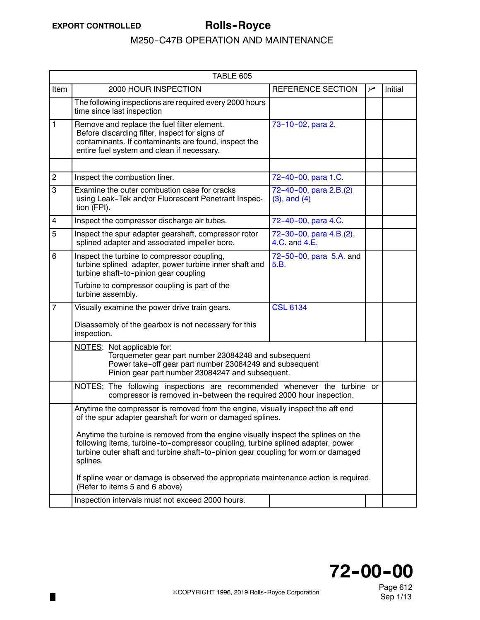П

<span id="page-5-0"></span>

| TABLE 605      |                                                                                                                                                                                                                                                                                                                                                                                                                         |                                             |    |         |  |
|----------------|-------------------------------------------------------------------------------------------------------------------------------------------------------------------------------------------------------------------------------------------------------------------------------------------------------------------------------------------------------------------------------------------------------------------------|---------------------------------------------|----|---------|--|
| Item           | 2000 HOUR INSPECTION                                                                                                                                                                                                                                                                                                                                                                                                    | REFERENCE SECTION                           | مم | Initial |  |
|                | The following inspections are required every 2000 hours<br>time since last inspection                                                                                                                                                                                                                                                                                                                                   |                                             |    |         |  |
| 1              | Remove and replace the fuel filter element.<br>Before discarding filter, inspect for signs of<br>contaminants. If contaminants are found, inspect the<br>entire fuel system and clean if necessary.                                                                                                                                                                                                                     | 73-10-02, para 2.                           |    |         |  |
| $\overline{2}$ | Inspect the combustion liner.                                                                                                                                                                                                                                                                                                                                                                                           | 72-40-00, para 1.C.                         |    |         |  |
| 3              | Examine the outer combustion case for cracks<br>using Leak-Tek and/or Fluorescent Penetrant Inspec-<br>tion (FPI).                                                                                                                                                                                                                                                                                                      | 72-40-00, para 2.B.(2)<br>$(3)$ , and $(4)$ |    |         |  |
| 4              | Inspect the compressor discharge air tubes.                                                                                                                                                                                                                                                                                                                                                                             | 72-40-00, para 4.C.                         |    |         |  |
| 5              | Inspect the spur adapter gearshaft, compressor rotor<br>splined adapter and associated impeller bore.                                                                                                                                                                                                                                                                                                                   | 72-30-00, para 4.B.(2),<br>4.C. and 4.E.    |    |         |  |
| 6              | Inspect the turbine to compressor coupling,<br>turbine splined adapter, power turbine inner shaft and<br>turbine shaft-to-pinion gear coupling                                                                                                                                                                                                                                                                          | 72-50-00, para 5.A. and<br>5.B.             |    |         |  |
|                | Turbine to compressor coupling is part of the<br>turbine assembly.                                                                                                                                                                                                                                                                                                                                                      |                                             |    |         |  |
| $\overline{7}$ | Visually examine the power drive train gears.<br>Disassembly of the gearbox is not necessary for this<br>inspection.                                                                                                                                                                                                                                                                                                    | <b>CSL 6134</b>                             |    |         |  |
|                | NOTES: Not applicable for:<br>Torquemeter gear part number 23084248 and subsequent<br>Power take-off gear part number 23084249 and subsequent<br>Pinion gear part number 23084247 and subsequent.                                                                                                                                                                                                                       |                                             |    |         |  |
|                | NOTES: The following inspections are recommended whenever the turbine or<br>compressor is removed in-between the required 2000 hour inspection.                                                                                                                                                                                                                                                                         |                                             |    |         |  |
|                | Anytime the compressor is removed from the engine, visually inspect the aft end<br>of the spur adapter gearshaft for worn or damaged splines.<br>Anytime the turbine is removed from the engine visually inspect the splines on the<br>following items, turbine-to-compressor coupling, turbine splined adapter, power<br>turbine outer shaft and turbine shaft-to-pinion gear coupling for worn or damaged<br>splines. |                                             |    |         |  |
|                | If spline wear or damage is observed the appropriate maintenance action is required.<br>(Refer to items 5 and 6 above)                                                                                                                                                                                                                                                                                                  |                                             |    |         |  |
|                | Inspection intervals must not exceed 2000 hours.                                                                                                                                                                                                                                                                                                                                                                        |                                             |    |         |  |

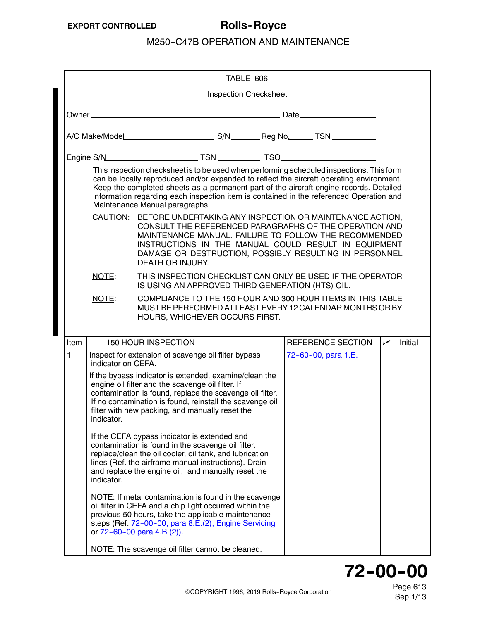|                                                                                                                                                                                                                                                                                                                                   |                                                                                                                                                                                                                                                                                                                            | TABLE 606                                                                                                                                                                                                                                                                                                                                                                                                    |                     |     |                |  |  |
|-----------------------------------------------------------------------------------------------------------------------------------------------------------------------------------------------------------------------------------------------------------------------------------------------------------------------------------|----------------------------------------------------------------------------------------------------------------------------------------------------------------------------------------------------------------------------------------------------------------------------------------------------------------------------|--------------------------------------------------------------------------------------------------------------------------------------------------------------------------------------------------------------------------------------------------------------------------------------------------------------------------------------------------------------------------------------------------------------|---------------------|-----|----------------|--|--|
|                                                                                                                                                                                                                                                                                                                                   | <b>Inspection Checksheet</b>                                                                                                                                                                                                                                                                                               |                                                                                                                                                                                                                                                                                                                                                                                                              |                     |     |                |  |  |
|                                                                                                                                                                                                                                                                                                                                   |                                                                                                                                                                                                                                                                                                                            |                                                                                                                                                                                                                                                                                                                                                                                                              |                     |     |                |  |  |
|                                                                                                                                                                                                                                                                                                                                   |                                                                                                                                                                                                                                                                                                                            |                                                                                                                                                                                                                                                                                                                                                                                                              |                     |     |                |  |  |
|                                                                                                                                                                                                                                                                                                                                   |                                                                                                                                                                                                                                                                                                                            |                                                                                                                                                                                                                                                                                                                                                                                                              |                     |     |                |  |  |
|                                                                                                                                                                                                                                                                                                                                   |                                                                                                                                                                                                                                                                                                                            | This inspection checksheet is to be used when performing scheduled inspections. This form<br>can be locally reproduced and/or expanded to reflect the aircraft operating environment.<br>Keep the completed sheets as a permanent part of the aircraft engine records. Detailed<br>information regarding each inspection item is contained in the referenced Operation and<br>Maintenance Manual paragraphs. |                     |     |                |  |  |
| CAUTION: BEFORE UNDERTAKING ANY INSPECTION OR MAINTENANCE ACTION,<br>CONSULT THE REFERENCED PARAGRAPHS OF THE OPERATION AND<br>MAINTENANCE MANUAL. FAILURE TO FOLLOW THE RECOMMENDED<br>INSTRUCTIONS IN THE MANUAL COULD RESULT IN EQUIPMENT<br>DAMAGE OR DESTRUCTION, POSSIBLY RESULTING IN PERSONNEL<br><b>DEATH OR INJURY.</b> |                                                                                                                                                                                                                                                                                                                            |                                                                                                                                                                                                                                                                                                                                                                                                              |                     |     |                |  |  |
|                                                                                                                                                                                                                                                                                                                                   | NOTE:                                                                                                                                                                                                                                                                                                                      | THIS INSPECTION CHECKLIST CAN ONLY BE USED IF THE OPERATOR<br>IS USING AN APPROVED THIRD GENERATION (HTS) OIL.                                                                                                                                                                                                                                                                                               |                     |     |                |  |  |
|                                                                                                                                                                                                                                                                                                                                   | NOTE:                                                                                                                                                                                                                                                                                                                      | COMPLIANCE TO THE 150 HOUR AND 300 HOUR ITEMS IN THIS TABLE<br>MUST BE PERFORMED AT LEAST EVERY 12 CALENDAR MONTHS OR BY<br>HOURS, WHICHEVER OCCURS FIRST.                                                                                                                                                                                                                                                   |                     |     |                |  |  |
| Item                                                                                                                                                                                                                                                                                                                              |                                                                                                                                                                                                                                                                                                                            | <b>150 HOUR INSPECTION</b>                                                                                                                                                                                                                                                                                                                                                                                   | REFERENCE SECTION   | مما | <b>Initial</b> |  |  |
| 1                                                                                                                                                                                                                                                                                                                                 |                                                                                                                                                                                                                                                                                                                            | Inspect for extension of scavenge oil filter bypass                                                                                                                                                                                                                                                                                                                                                          | 72-60-00, para 1.E. |     |                |  |  |
|                                                                                                                                                                                                                                                                                                                                   | indicator on CEFA.<br>If the bypass indicator is extended, examine/clean the<br>engine oil filter and the scavenge oil filter. If<br>contamination is found, replace the scavenge oil filter.<br>If no contamination is found, reinstall the scavenge oil<br>filter with new packing, and manually reset the<br>indicator. |                                                                                                                                                                                                                                                                                                                                                                                                              |                     |     |                |  |  |
|                                                                                                                                                                                                                                                                                                                                   | indicator.                                                                                                                                                                                                                                                                                                                 | If the CEFA bypass indicator is extended and<br>contamination is found in the scavenge oil filter,<br>replace/clean the oil cooler, oil tank, and lubrication<br>lines (Ref. the airframe manual instructions). Drain<br>and replace the engine oil, and manually reset the                                                                                                                                  |                     |     |                |  |  |
|                                                                                                                                                                                                                                                                                                                                   |                                                                                                                                                                                                                                                                                                                            | NOTE: If metal contamination is found in the scavenge<br>oil filter in CEFA and a chip light occurred within the<br>previous 50 hours, take the applicable maintenance<br>steps (Ref. 72-00-00, para 8.E.(2), Engine Servicing<br>or $72 - 60 - 00$ para $4.B.(2)$ ).                                                                                                                                        |                     |     |                |  |  |
|                                                                                                                                                                                                                                                                                                                                   |                                                                                                                                                                                                                                                                                                                            |                                                                                                                                                                                                                                                                                                                                                                                                              |                     |     |                |  |  |

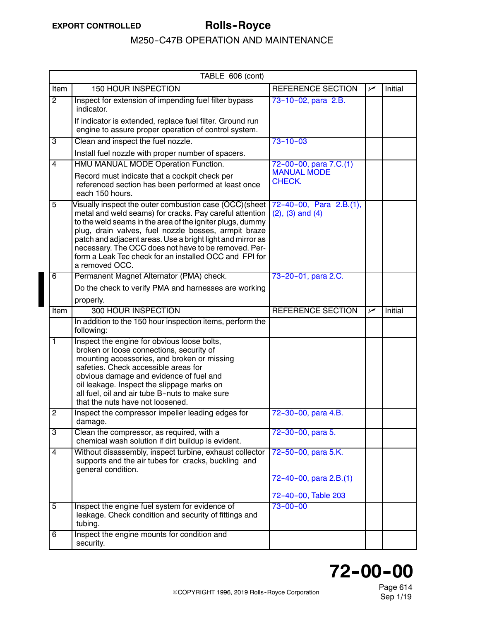<span id="page-7-0"></span>

|                | TABLE 606 (cont)                                                                                                                                                                                                                                                                                                                                                                                                                         |                                                                      |     |                |  |  |
|----------------|------------------------------------------------------------------------------------------------------------------------------------------------------------------------------------------------------------------------------------------------------------------------------------------------------------------------------------------------------------------------------------------------------------------------------------------|----------------------------------------------------------------------|-----|----------------|--|--|
| Item           | 150 HOUR INSPECTION                                                                                                                                                                                                                                                                                                                                                                                                                      | <b>REFERENCE SECTION</b>                                             | مما | Initial        |  |  |
| $\overline{2}$ | Inspect for extension of impending fuel filter bypass<br>indicator.                                                                                                                                                                                                                                                                                                                                                                      | 73-10-02, para 2.B.                                                  |     |                |  |  |
|                | If indicator is extended, replace fuel filter. Ground run<br>engine to assure proper operation of control system.                                                                                                                                                                                                                                                                                                                        |                                                                      |     |                |  |  |
| 3              | Clean and inspect the fuel nozzle.                                                                                                                                                                                                                                                                                                                                                                                                       | $73 - 10 - 03$                                                       |     |                |  |  |
|                | Install fuel nozzle with proper number of spacers.                                                                                                                                                                                                                                                                                                                                                                                       |                                                                      |     |                |  |  |
| $\overline{4}$ | HMU MANUAL MODE Operation Function.                                                                                                                                                                                                                                                                                                                                                                                                      | 72-00-00, para 7.C.(1)                                               |     |                |  |  |
|                | Record must indicate that a cockpit check per<br>referenced section has been performed at least once<br>each 150 hours.                                                                                                                                                                                                                                                                                                                  | <b>MANUAL MODE</b><br>CHECK.                                         |     |                |  |  |
| 5              | Visually inspect the outer combustion case (OCC)(sheet<br>metal and weld seams) for cracks. Pay careful attention<br>to the weld seams in the area of the igniter plugs, dummy<br>plug, drain valves, fuel nozzle bosses, armpit braze<br>patch and adjacent areas. Use a bright light and mirror as<br>necessary. The OCC does not have to be removed. Per-<br>form a Leak Tec check for an installed OCC and FPI for<br>a removed OCC. | 72-40-00, Para 2.B.(1),<br>$(2)$ , $(3)$ and $(4)$                   |     |                |  |  |
| 6              | Permanent Magnet Alternator (PMA) check.                                                                                                                                                                                                                                                                                                                                                                                                 | 73-20-01, para 2.C.                                                  |     |                |  |  |
|                | Do the check to verify PMA and harnesses are working                                                                                                                                                                                                                                                                                                                                                                                     |                                                                      |     |                |  |  |
|                | properly.                                                                                                                                                                                                                                                                                                                                                                                                                                |                                                                      |     |                |  |  |
| Item           | 300 HOUR INSPECTION                                                                                                                                                                                                                                                                                                                                                                                                                      | <b>REFERENCE SECTION</b>                                             | مما | <b>Initial</b> |  |  |
|                | In addition to the 150 hour inspection items, perform the<br>following:                                                                                                                                                                                                                                                                                                                                                                  |                                                                      |     |                |  |  |
| $\overline{1}$ | Inspect the engine for obvious loose bolts,<br>broken or loose connections, security of<br>mounting accessories, and broken or missing<br>safeties. Check accessible areas for<br>obvious damage and evidence of fuel and<br>oil leakage. Inspect the slippage marks on<br>all fuel, oil and air tube B-nuts to make sure<br>that the nuts have not loosened.                                                                            |                                                                      |     |                |  |  |
| $\overline{2}$ | Inspect the compressor impeller leading edges for<br>damage.                                                                                                                                                                                                                                                                                                                                                                             | 72-30-00, para 4.B.                                                  |     |                |  |  |
| $\overline{3}$ | Clean the compressor, as required, with a<br>chemical wash solution if dirt buildup is evident.                                                                                                                                                                                                                                                                                                                                          | 72-30-00, para 5.                                                    |     |                |  |  |
| 4              | Without disassembly, inspect turbine, exhaust collector<br>supports and the air tubes for cracks, buckling and<br>general condition.                                                                                                                                                                                                                                                                                                     | 72-50-00, para 5.K.<br>72-40-00, para 2.B.(1)<br>72-40-00, Table 203 |     |                |  |  |
| 5              | Inspect the engine fuel system for evidence of<br>leakage. Check condition and security of fittings and<br>tubing.                                                                                                                                                                                                                                                                                                                       | $73 - 00 - 00$                                                       |     |                |  |  |
| 6              | Inspect the engine mounts for condition and<br>security.                                                                                                                                                                                                                                                                                                                                                                                 |                                                                      |     |                |  |  |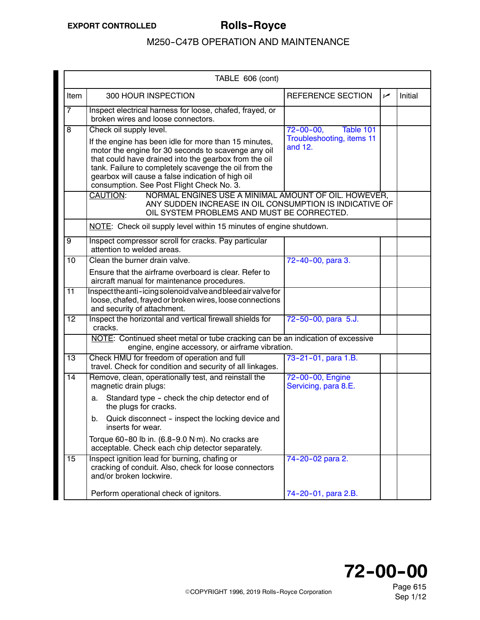<span id="page-8-0"></span>

|                 | TABLE 606 (cont)                                                                                                                                                                                                                                                                                                                                            |                                                                      |     |         |
|-----------------|-------------------------------------------------------------------------------------------------------------------------------------------------------------------------------------------------------------------------------------------------------------------------------------------------------------------------------------------------------------|----------------------------------------------------------------------|-----|---------|
| Item            | 300 HOUR INSPECTION                                                                                                                                                                                                                                                                                                                                         | <b>REFERENCE SECTION</b>                                             | سما | Initial |
| $\overline{7}$  | Inspect electrical harness for loose, chafed, frayed, or<br>broken wires and loose connectors.                                                                                                                                                                                                                                                              |                                                                      |     |         |
| $\overline{8}$  | Check oil supply level.<br>If the engine has been idle for more than 15 minutes,<br>motor the engine for 30 seconds to scavenge any oil<br>that could have drained into the gearbox from the oil<br>tank. Failure to completely scavenge the oil from the<br>gearbox will cause a false indication of high oil<br>consumption. See Post Flight Check No. 3. | $72 - 00 - 00,$<br>Table 101<br>Troubleshooting, items 11<br>and 12. |     |         |
|                 | NORMAL ENGINES USE A MINIMAL AMOUNT OF OIL. HOWEVER,<br><b>CAUTION:</b><br>ANY SUDDEN INCREASE IN OIL CONSUMPTION IS INDICATIVE OF<br>OIL SYSTEM PROBLEMS AND MUST BE CORRECTED.                                                                                                                                                                            |                                                                      |     |         |
|                 | NOTE: Check oil supply level within 15 minutes of engine shutdown.                                                                                                                                                                                                                                                                                          |                                                                      |     |         |
| $\overline{9}$  | Inspect compressor scroll for cracks. Pay particular<br>attention to welded areas.                                                                                                                                                                                                                                                                          |                                                                      |     |         |
| 10              | Clean the burner drain valve.<br>Ensure that the airframe overboard is clear. Refer to<br>aircraft manual for maintenance procedures.                                                                                                                                                                                                                       | 72-40-00, para 3.                                                    |     |         |
| $\overline{11}$ | Inspectthe anti-icing solenoid valve and bleed air valve for<br>loose, chafed, frayed or broken wires, loose connections<br>and security of attachment.                                                                                                                                                                                                     |                                                                      |     |         |
| $\overline{12}$ | Inspect the horizontal and vertical firewall shields for<br>cracks.                                                                                                                                                                                                                                                                                         | 72-50-00, para 5.J.                                                  |     |         |
|                 | NOTE: Continued sheet metal or tube cracking can be an indication of excessive<br>engine, engine accessory, or airframe vibration.                                                                                                                                                                                                                          |                                                                      |     |         |
| 13              | Check HMU for freedom of operation and full<br>travel. Check for condition and security of all linkages.                                                                                                                                                                                                                                                    | 73-21-01, para 1.B.                                                  |     |         |
| 14              | Remove, clean, operationally test, and reinstall the<br>magnetic drain plugs:<br>Standard type - check the chip detector end of<br>а.<br>the plugs for cracks.<br>Quick disconnect - inspect the locking device and<br>b.<br>inserts for wear.<br>Torque 60-80 lb in. (6.8-9.0 N·m). No cracks are                                                          | 72-00-00, Engine<br>Servicing, para 8.E.                             |     |         |
| 15              | acceptable. Check each chip detector separately.<br>Inspect ignition lead for burning, chafing or<br>cracking of conduit. Also, check for loose connectors<br>and/or broken lockwire.<br>Perform operational check of ignitors.                                                                                                                             | 74-20-02 para 2.<br>74-20-01, para 2.B.                              |     |         |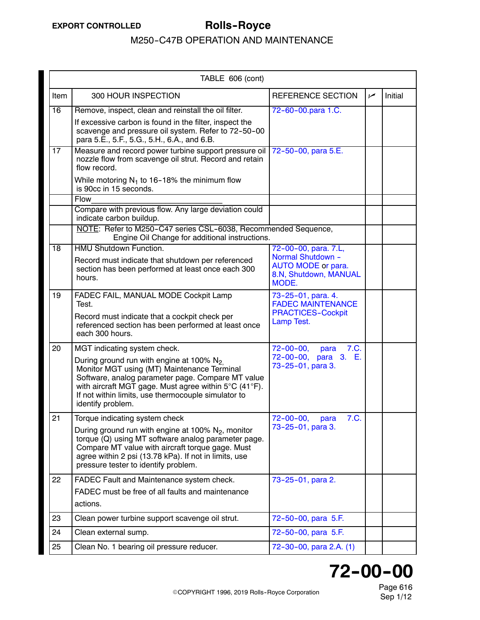|      | TABLE 606 (cont)                                                                                                                                                                                                                                                                                                     |                                                                                                          |     |         |
|------|----------------------------------------------------------------------------------------------------------------------------------------------------------------------------------------------------------------------------------------------------------------------------------------------------------------------|----------------------------------------------------------------------------------------------------------|-----|---------|
| Item | 300 HOUR INSPECTION                                                                                                                                                                                                                                                                                                  | REFERENCE SECTION                                                                                        | سما | Initial |
| 16   | Remove, inspect, clean and reinstall the oil filter.<br>If excessive carbon is found in the filter, inspect the<br>scavenge and pressure oil system. Refer to 72-50-00<br>para 5.E., 5.F., 5.G., 5.H., 6.A., and 6.B.                                                                                                | 72-60-00.para 1.C.                                                                                       |     |         |
| 17   | Measure and record power turbine support pressure oil<br>nozzle flow from scavenge oil strut. Record and retain<br>flow record.<br>While motoring $N_1$ to 16-18% the minimum flow                                                                                                                                   | 72-50-00, para 5.E.                                                                                      |     |         |
|      | is 90cc in 15 seconds.                                                                                                                                                                                                                                                                                               |                                                                                                          |     |         |
|      | Flow<br>Compare with previous flow. Any large deviation could<br>indicate carbon buildup.                                                                                                                                                                                                                            |                                                                                                          |     |         |
|      | NOTE: Refer to M250-C47 series CSL-6038, Recommended Sequence,<br>Engine Oil Change for additional instructions.                                                                                                                                                                                                     |                                                                                                          |     |         |
| 18   | <b>HMU Shutdown Function.</b><br>Record must indicate that shutdown per referenced<br>section has been performed at least once each 300<br>hours.                                                                                                                                                                    | 72-00-00, para. 7.L,<br>Normal Shutdown -<br><b>AUTO MODE or para.</b><br>8.N, Shutdown, MANUAL<br>MODE. |     |         |
| 19   | FADEC FAIL, MANUAL MODE Cockpit Lamp<br>Test.<br>Record must indicate that a cockpit check per<br>referenced section has been performed at least once<br>each 300 hours.                                                                                                                                             | 73-25-01, para. 4.<br><b>FADEC MAINTENANCE</b><br><b>PRACTICES-Cockpit</b><br>Lamp Test.                 |     |         |
| 20   | MGT indicating system check.<br>During ground run with engine at 100% $N_2$<br>Monitor MGT using (MT) Maintenance Terminal<br>Software, analog parameter page. Compare MT value<br>with aircraft MGT gage. Must agree within 5°C (41°F).<br>If not within limits, use thermocouple simulator to<br>identify problem. | 72-00-00, para<br>7.C.<br>72-00-00, para 3. E.<br>73-25-01, para 3.                                      |     |         |
| 21   | Torque indicating system check<br>During ground run with engine at 100% $N_2$ , monitor<br>torque (Q) using MT software analog parameter page.<br>Compare MT value with aircraft torque gage. Must<br>agree within 2 psi (13.78 kPa). If not in limits, use<br>pressure tester to identify problem.                  | 72-00-00, para<br>7.C.<br>73-25-01, para 3.                                                              |     |         |
| 22   | FADEC Fault and Maintenance system check.<br>FADEC must be free of all faults and maintenance<br>actions.                                                                                                                                                                                                            | 73-25-01, para 2.                                                                                        |     |         |
| 23   | Clean power turbine support scavenge oil strut.                                                                                                                                                                                                                                                                      | 72-50-00, para 5.F.                                                                                      |     |         |
| 24   | Clean external sump.                                                                                                                                                                                                                                                                                                 | 72-50-00, para 5.F.                                                                                      |     |         |
| 25   | Clean No. 1 bearing oil pressure reducer.                                                                                                                                                                                                                                                                            | 72-30-00, para 2.A. (1)                                                                                  |     |         |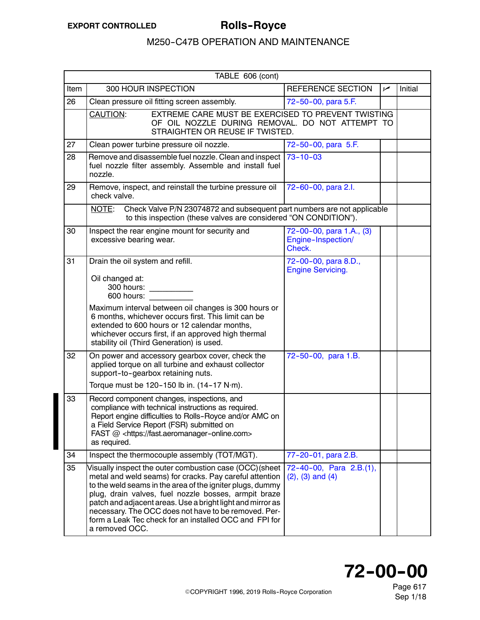<span id="page-10-0"></span>

| TABLE 606 (cont) |                                                                                                                                                                                                                                                                                                                                                                                                                                           |                                                          |     |         |  |
|------------------|-------------------------------------------------------------------------------------------------------------------------------------------------------------------------------------------------------------------------------------------------------------------------------------------------------------------------------------------------------------------------------------------------------------------------------------------|----------------------------------------------------------|-----|---------|--|
| Item             | 300 HOUR INSPECTION                                                                                                                                                                                                                                                                                                                                                                                                                       | <b>REFERENCE SECTION</b>                                 | مما | Initial |  |
| 26               | Clean pressure oil fitting screen assembly.                                                                                                                                                                                                                                                                                                                                                                                               | 72-50-00, para 5.F.                                      |     |         |  |
|                  | EXTREME CARE MUST BE EXERCISED TO PREVENT TWISTING<br>CAUTION:<br>OF OIL NOZZLE DURING REMOVAL. DO NOT ATTEMPT TO<br>STRAIGHTEN OR REUSE IF TWISTED.                                                                                                                                                                                                                                                                                      |                                                          |     |         |  |
| 27               | Clean power turbine pressure oil nozzle.                                                                                                                                                                                                                                                                                                                                                                                                  | 72-50-00, para 5.F.                                      |     |         |  |
| 28               | Remove and disassemble fuel nozzle. Clean and inspect<br>fuel nozzle filter assembly. Assemble and install fuel<br>nozzle.                                                                                                                                                                                                                                                                                                                | $73 - 10 - 03$                                           |     |         |  |
| 29               | Remove, inspect, and reinstall the turbine pressure oil<br>check valve.                                                                                                                                                                                                                                                                                                                                                                   | 72-60-00, para 2.l.                                      |     |         |  |
|                  | NOTE:<br>Check Valve P/N 23074872 and subsequent part numbers are not applicable<br>to this inspection (these valves are considered "ON CONDITION").                                                                                                                                                                                                                                                                                      |                                                          |     |         |  |
| 30               | Inspect the rear engine mount for security and<br>excessive bearing wear.                                                                                                                                                                                                                                                                                                                                                                 | 72-00-00, para 1.A., (3)<br>Engine-Inspection/<br>Check. |     |         |  |
| 31               | Drain the oil system and refill.<br>Oil changed at:<br>300 hours:<br>600 hours:                                                                                                                                                                                                                                                                                                                                                           | 72-00-00, para 8.D.,<br><b>Engine Servicing.</b>         |     |         |  |
|                  | Maximum interval between oil changes is 300 hours or<br>6 months, whichever occurs first. This limit can be<br>extended to 600 hours or 12 calendar months,<br>whichever occurs first, if an approved high thermal<br>stability oil (Third Generation) is used.                                                                                                                                                                           |                                                          |     |         |  |
| 32               | On power and accessory gearbox cover, check the<br>applied torque on all turbine and exhaust collector<br>support-to-gearbox retaining nuts.                                                                                                                                                                                                                                                                                              | 72-50-00, para 1.B.                                      |     |         |  |
|                  | Torque must be 120-150 lb in. (14-17 N·m).                                                                                                                                                                                                                                                                                                                                                                                                |                                                          |     |         |  |
| 33               | Record component changes, inspections, and<br>compliance with technical instructions as required.<br>Report engine difficulties to Rolls-Royce and/or AMC on<br>a Field Service Report (FSR) submitted on<br>FAST @ <https: fast.aeromanager-online.com=""><br/>as required.</https:>                                                                                                                                                     |                                                          |     |         |  |
| 34               | Inspect the thermocouple assembly (TOT/MGT).                                                                                                                                                                                                                                                                                                                                                                                              | 77-20-01, para 2.B.                                      |     |         |  |
| 35               | Visually inspect the outer combustion case (OCC) (sheet<br>metal and weld seams) for cracks. Pay careful attention<br>to the weld seams in the area of the igniter plugs, dummy<br>plug, drain valves, fuel nozzle bosses, armpit braze<br>patch and adjacent areas. Use a bright light and mirror as<br>necessary. The OCC does not have to be removed. Per-<br>form a Leak Tec check for an installed OCC and FPI for<br>a removed OCC. | 72-40-00, Para 2.B.(1),<br>$(2)$ , $(3)$ and $(4)$       |     |         |  |



Page 617 Sep 1/18